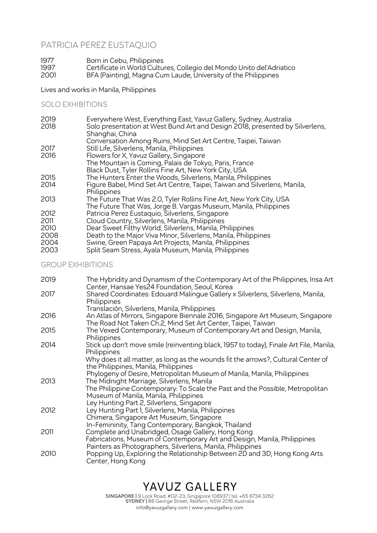# PATRICIA PEREZ EUSTAQUIO

1977 Born in Cebu, Philippines 1997 Certificate in World Cultures, Collegio del Mondo Unito del'Adriatico 2001 BFA (Painting), Magna Cum Laude, University of the Philippines

Lives and works in Manila, Philippines

# SOLO EXHIBITIONS

| 2019 | Everywhere West, Everything East, Yavuz Gallery, Sydney, Australia                              |
|------|-------------------------------------------------------------------------------------------------|
| 2018 | Solo presentation at West Bund Art and Design 2018, presented by Silverlens,<br>Shanghai, China |
|      | Conversation Among Ruins, Mind Set Art Centre, Taipei, Taiwan                                   |
| 2017 | Still Life, Silverlens, Manila, Philippines                                                     |
| 2016 | Flowers for X, Yavuz Gallery, Singapore                                                         |
|      | The Mountain is Coming, Palais de Tokyo, Paris, France                                          |
|      | Black Dust, Tyler Rollins Fine Art, New York City, USA                                          |
| 2015 | The Hunters Enter the Woods, Silverlens, Manila, Philippines                                    |
| 2014 | Figure Babel, Mind Set Art Centre, Taipei, Taiwan and Silverlens, Manila,                       |
|      | Philippines                                                                                     |
| 2013 | The Future That Was 2.0, Tyler Rollins Fine Art, New York City, USA                             |
|      | The Future That Was, Jorge B. Vargas Museum, Manila, Philippines                                |
| 2012 | Patricia Perez Eustaquio, Silverlens, Singapore                                                 |
| 2011 | Cloud Country, Silverlens, Manila, Philippines                                                  |
| 2010 | Dear Sweet Filthy World, Silverlens, Manila, Philippines                                        |
| 2008 | Death to the Major Viva Minor, Silverlens, Manila, Philippines                                  |
| 2004 | Swine, Green Papaya Art Projects, Manila, Philippines                                           |
| 2003 | Split Seam Stress, Ayala Museum, Manila, Philippines                                            |

### GROUP EXHIBITIONS

| 2019 | The Hybridity and Dynamism of the Contemporary Art of the Philippines, Insa Art<br>Center, Hansae Yes24 Foundation, Seoul, Korea              |
|------|-----------------------------------------------------------------------------------------------------------------------------------------------|
| 2017 | Shared Coordinates: Edouard Malingue Gallery x Silverlens, Silverlens, Manila,<br>Philippines                                                 |
|      | Translación, Silverlens, Manila, Philippines                                                                                                  |
| 2016 | An Atlas of Mirrors, Singapore Biennale 2016, Singapore Art Museum, Singapore<br>The Road Not Taken Ch.2, Mind Set Art Center, Taipei, Taiwan |
| 2015 | The Vexed Contemporary, Museum of Contemporary Art and Design, Manila,<br>Philippines                                                         |
| 2014 | Stick up don't move smile (reinventing black, 1957 to today), Finale Art File, Manila,<br>Philippines                                         |
|      | Why does it all matter, as long as the wounds fit the arrows?, Cultural Center of<br>the Philippines, Manila, Philippines                     |
|      | Phylogeny of Desire, Metropolitan Museum of Manila, Manila, Philippines                                                                       |
| 2013 | The Midnight Marriage, Silverlens, Manila                                                                                                     |
|      | The Philippine Contemporary: To Scale the Past and the Possible, Metropolitan                                                                 |
|      | Museum of Manila, Manila, Philippines                                                                                                         |
|      | Ley Hunting Part 2, Silverlens, Singapore                                                                                                     |
| 2012 | Ley Hunting Part 1, Silverlens, Manila, Philippines                                                                                           |
|      | Chimera, Singapore Art Museum, Singapore                                                                                                      |
|      | In-Femininity, Tang Contemporary, Bangkok, Thailand                                                                                           |
| 2011 | Complete and Unabridged, Osage Gallery, Hong Kong                                                                                             |
|      | Fabrications, Museum of Contemporary Art and Design, Manila, Philippines                                                                      |
|      | Painters as Photographers, Silverlens, Manila, Philippines                                                                                    |
| 2010 | Popping Up, Exploring the Relationship Between 2D and 3D, Hong Kong Arts<br>Center, Hong Kong                                                 |

# YAVUZ GALLERY